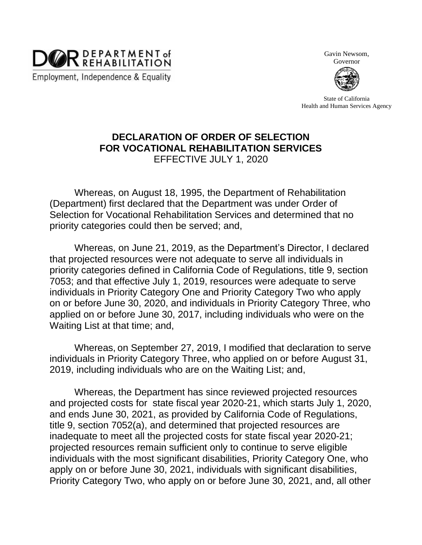

Gavin Newsom,

Governor

State of California Health and Human Services Agency

## **DECLARATION OF ORDER OF SELECTION FOR VOCATIONAL REHABILITATION SERVICES** EFFECTIVE JULY 1, 2020

Whereas, on August 18, 1995, the Department of Rehabilitation (Department) first declared that the Department was under Order of Selection for Vocational Rehabilitation Services and determined that no priority categories could then be served; and,

Whereas, on June 21, 2019, as the Department's Director, I declared that projected resources were not adequate to serve all individuals in priority categories defined in California Code of Regulations, title 9, section 7053; and that effective July 1, 2019, resources were adequate to serve individuals in Priority Category One and Priority Category Two who apply on or before June 30, 2020, and individuals in Priority Category Three, who applied on or before June 30, 2017, including individuals who were on the Waiting List at that time; and,

Whereas, on September 27, 2019, I modified that declaration to serve individuals in Priority Category Three, who applied on or before August 31, 2019, including individuals who are on the Waiting List; and,

Whereas, the Department has since reviewed projected resources and projected costs for state fiscal year 2020-21, which starts July 1, 2020, and ends June 30, 2021, as provided by California Code of Regulations, title 9, section 7052(a), and determined that projected resources are inadequate to meet all the projected costs for state fiscal year 2020-21; projected resources remain sufficient only to continue to serve eligible individuals with the most significant disabilities, Priority Category One, who apply on or before June 30, 2021, individuals with significant disabilities, Priority Category Two, who apply on or before June 30, 2021, and, all other